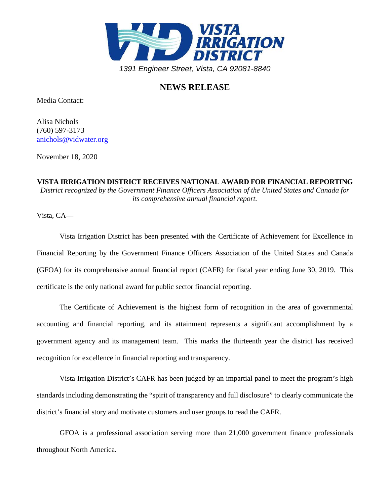

## **NEWS RELEASE**

Media Contact:

Alisa Nichols (760) 597-3173 [anichols@vidwater.org](mailto:anichols@vidwater.org)

November 18, 2020

**VISTA IRRIGATION DISTRICT RECEIVES NATIONAL AWARD FOR FINANCIAL REPORTING** *District recognized by the Government Finance Officers Association of the United States and Canada for its comprehensive annual financial report.*

Vista, CA—

Vista Irrigation District has been presented with the Certificate of Achievement for Excellence in Financial Reporting by the Government Finance Officers Association of the United States and Canada (GFOA) for its comprehensive annual financial report (CAFR) for fiscal year ending June 30, 2019. This certificate is the only national award for public sector financial reporting.

The Certificate of Achievement is the highest form of recognition in the area of governmental accounting and financial reporting, and its attainment represents a significant accomplishment by a government agency and its management team. This marks the thirteenth year the district has received recognition for excellence in financial reporting and transparency.

Vista Irrigation District's CAFR has been judged by an impartial panel to meet the program's high standards including demonstrating the "spirit of transparency and full disclosure" to clearly communicate the district's financial story and motivate customers and user groups to read the CAFR.

GFOA is a professional association serving more than 21,000 government finance professionals throughout North America.